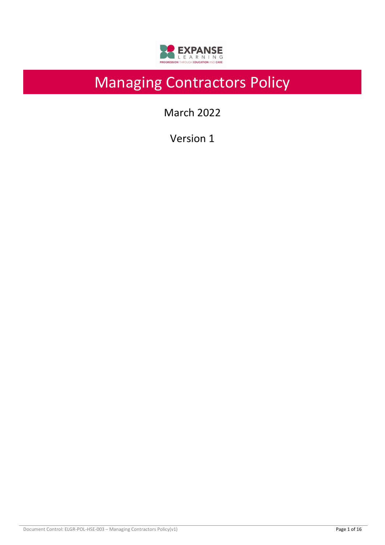

# Managing Contractors Policy

March 2022

Version 1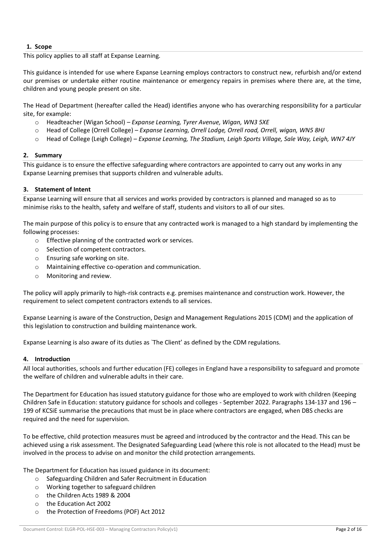## **1. Scope**

This policy applies to all staff at Expanse Learning.

This guidance is intended for use where Expanse Learning employs contractors to construct new, refurbish and/or extend our premises or undertake either routine maintenance or emergency repairs in premises where there are, at the time, children and young people present on site.

The Head of Department (hereafter called the Head) identifies anyone who has overarching responsibility for a particular site, for example:

- o Headteacher (Wigan School) *Expanse Learning, Tyrer Avenue, Wigan, WN3 5XE*
- o Head of College (Orrell College) *Expanse Learning, Orrell Lodge, Orrell road, Orrell, wigan, WN5 8HJ*
- o Head of College (Leigh College) *Expanse Learning, The Stadium, Leigh Sports Village, Sale Way, Leigh, WN7 4JY*

#### **2. Summary**

This guidance is to ensure the effective safeguarding where contractors are appointed to carry out any works in any Expanse Learning premises that supports children and vulnerable adults.

#### **3. Statement of Intent**

Expanse Learning will ensure that all services and works provided by contractors is planned and managed so as to minimise risks to the health, safety and welfare of staff, students and visitors to all of our sites.

The main purpose of this policy is to ensure that any contracted work is managed to a high standard by implementing the following processes:

- o Effective planning of the contracted work or services.
- o Selection of competent contractors.
- o Ensuring safe working on site.
- o Maintaining effective co-operation and communication.
- o Monitoring and review.

The policy will apply primarily to high-risk contracts e.g. premises maintenance and construction work. However, the requirement to select competent contractors extends to all services.

Expanse Learning is aware of the Construction, Design and Management Regulations 2015 (CDM) and the application of this legislation to construction and building maintenance work.

Expanse Learning is also aware of its duties as `The Client' as defined by the CDM regulations.

#### **4. Introduction**

All local authorities, schools and further education (FE) colleges in England have a responsibility to safeguard and promote the welfare of children and vulnerable adults in their care.

The Department for Education has issued statutory guidance for those who are employed to work with children (Keeping Children Safe in Education: statutory guidance for schools and colleges - September 2022. Paragraphs 134-137 and 196 – 199 of KCSiE summarise the precautions that must be in place where contractors are engaged, when DBS checks are required and the need for supervision.

To be effective, child protection measures must be agreed and introduced by the contractor and the Head. This can be achieved using a risk assessment. The Designated Safeguarding Lead (where this role is not allocated to the Head) must be involved in the process to advise on and monitor the child protection arrangements.

The Department for Education has issued guidance in its document:

- o Safeguarding Children and Safer Recruitment in Education
- o Working together to safeguard children
- o the Children Acts 1989 & 2004
- o the Education Act 2002
- o the Protection of Freedoms (POF) Act 2012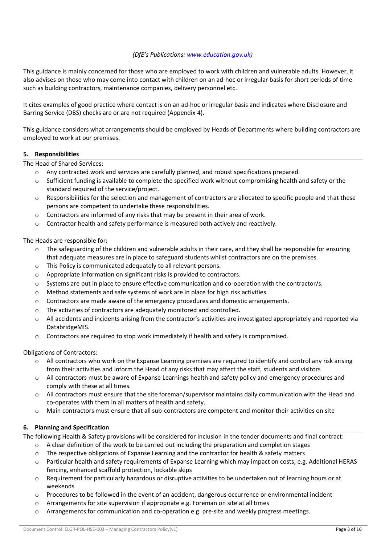## *(DfE's Publications: www.education.gov.uk)*

This guidance is mainly concerned for those who are employed to work with children and vulnerable adults. However, it also advises on those who may come into contact with children on an ad-hoc or irregular basis for short periods of time such as building contractors, maintenance companies, delivery personnel etc.

It cites examples of good practice where contact is on an ad-hoc or irregular basis and indicates where Disclosure and Barring Service (DBS) checks are or are not required (Appendix 4).

This guidance considers what arrangements should be employed by Heads of Departments where building contractors are employed to work at our premises.

## **5. Responsibilities**

The Head of Shared Services:

- o Any contracted work and services are carefully planned, and robust specifications prepared.
- o Sufficient funding is available to complete the specified work without compromising health and safety or the standard required of the service/project.
- $\circ$  Responsibilities for the selection and management of contractors are allocated to specific people and that these persons are competent to undertake these responsibilities.
- o Contractors are informed of any risks that may be present in their area of work.
- $\circ$  Contractor health and safety performance is measured both actively and reactively.

The Heads are responsible for:

- $\circ$  The safeguarding of the children and vulnerable adults in their care, and they shall be responsible for ensuring that adequate measures are in place to safeguard students whilst contractors are on the premises.
- o This Policy is communicated adequately to all relevant persons.
- o Appropriate information on significant risks is provided to contractors.
- $\circ$  Systems are put in place to ensure effective communication and co-operation with the contractor/s.
- o Method statements and safe systems of work are in place for high risk activities.
- $\circ$  Contractors are made aware of the emergency procedures and domestic arrangements.
- o The activities of contractors are adequately monitored and controlled.
- $\circ$  All accidents and incidents arising from the contractor's activities are investigated appropriately and reported via DatabridgeMIS.
- o Contractors are required to stop work immediately if health and safety is compromised.

#### Obligations of Contractors:

- $\circ$  All contractors who work on the Expanse Learning premises are required to identify and control any risk arising from their activities and inform the Head of any risks that may affect the staff, students and visitors
- o All contractors must be aware of Expanse Learnings health and safety policy and emergency procedures and comply with these at all times.
- $\circ$  All contractors must ensure that the site foreman/supervisor maintains daily communication with the Head and co-operates with them in all matters of health and safety.
- o Main contractors must ensure that all sub-contractors are competent and monitor their activities on site

## **6. Planning and Specification**

The following Health & Safety provisions will be considered for inclusion in the tender documents and final contract:

- $\circ$  A clear definition of the work to be carried out including the preparation and completion stages
- $\circ$  The respective obligations of Expanse Learning and the contractor for health & safety matters
- o Particular health and safety requirements of Expanse Learning which may impact on costs, e.g. Additional HERAS fencing, enhanced scaffold protection, lockable skips
- o Requirement for particularly hazardous or disruptive activities to be undertaken out of learning hours or at weekends
- o Procedures to be followed in the event of an accident, dangerous occurrence or environmental incident
- o Arrangements for site supervision if appropriate e.g. Foreman on site at all times
- o Arrangements for communication and co-operation e.g. pre-site and weekly progress meetings.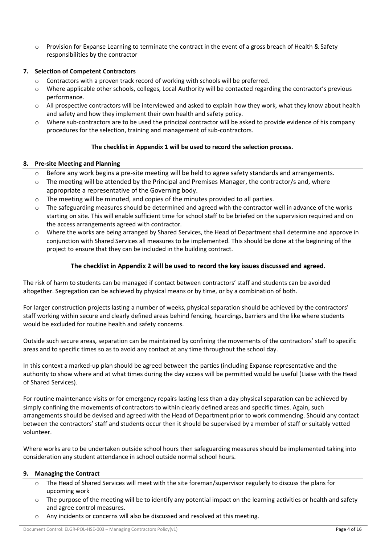o Provision for Expanse Learning to terminate the contract in the event of a gross breach of Health & Safety responsibilities by the contractor

## **7. Selection of Competent Contractors**

- Contractors with a proven track record of working with schools will be preferred.
- $\circ$  Where applicable other schools, colleges, Local Authority will be contacted regarding the contractor's previous performance.
- $\circ$  All prospective contractors will be interviewed and asked to explain how they work, what they know about health and safety and how they implement their own health and safety policy.
- o Where sub-contractors are to be used the principal contractor will be asked to provide evidence of his company procedures for the selection, training and management of sub-contractors.

## **The checklist in Appendix 1 will be used to record the selection process.**

## **8. Pre-site Meeting and Planning**

- Before any work begins a pre-site meeting will be held to agree safety standards and arrangements.
- $\circ$  The meeting will be attended by the Principal and Premises Manager, the contractor/s and, where appropriate a representative of the Governing body.
- o The meeting will be minuted, and copies of the minutes provided to all parties.
- o The safeguarding measures should be determined and agreed with the contractor well in advance of the works starting on site. This will enable sufficient time for school staff to be briefed on the supervision required and on the access arrangements agreed with contractor.
- o Where the works are being arranged by Shared Services, the Head of Department shall determine and approve in conjunction with Shared Services all measures to be implemented. This should be done at the beginning of the project to ensure that they can be included in the building contract.

## **The checklist in Appendix 2 will be used to record the key issues discussed and agreed.**

The risk of harm to students can be managed if contact between contractors' staff and students can be avoided altogether. Segregation can be achieved by physical means or by time, or by a combination of both.

For larger construction projects lasting a number of weeks, physical separation should be achieved by the contractors' staff working within secure and clearly defined areas behind fencing, hoardings, barriers and the like where students would be excluded for routine health and safety concerns.

Outside such secure areas, separation can be maintained by confining the movements of the contractors' staff to specific areas and to specific times so as to avoid any contact at any time throughout the school day.

In this context a marked-up plan should be agreed between the parties (including Expanse representative and the authority to show where and at what times during the day access will be permitted would be useful (Liaise with the Head of Shared Services).

For routine maintenance visits or for emergency repairs lasting less than a day physical separation can be achieved by simply confining the movements of contractors to within clearly defined areas and specific times. Again, such arrangements should be devised and agreed with the Head of Department prior to work commencing. Should any contact between the contractors' staff and students occur then it should be supervised by a member of staff or suitably vetted volunteer.

Where works are to be undertaken outside school hours then safeguarding measures should be implemented taking into consideration any student attendance in school outside normal school hours.

## **9. Managing the Contract**

- o The Head of Shared Services will meet with the site foreman/supervisor regularly to discuss the plans for upcoming work
- $\circ$  The purpose of the meeting will be to identify any potential impact on the learning activities or health and safety and agree control measures.
- o Any incidents or concerns will also be discussed and resolved at this meeting.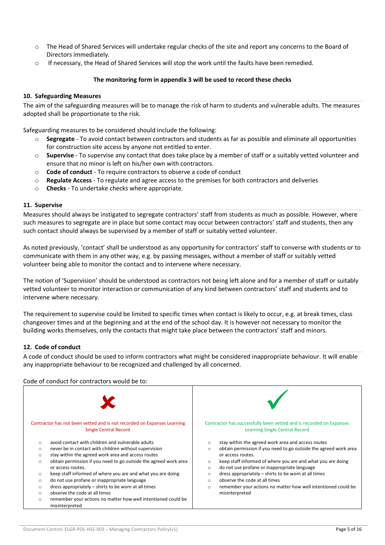- o The Head of Shared Services will undertake regular checks of the site and report any concerns to the Board of Directors immediately.
- o If necessary, the Head of Shared Services will stop the work until the faults have been remedied.

## **The monitoring form in appendix 3 will be used to record these checks**

### **10. Safeguarding Measures**

The aim of the safeguarding measures will be to manage the risk of harm to students and vulnerable adults. The measures adopted shall be proportionate to the risk.

Safeguarding measures to be considered should include the following:

- o **Segregate** To avoid contact between contractors and students as far as possible and eliminate all opportunities for construction site access by anyone not entitled to enter.
- o **Supervise** To supervise any contact that does take place by a member of staff or a suitably vetted volunteer and ensure that no minor is left on his/her own with contractors.
- o **Code of conduct** To require contractors to observe a code of conduct
- o **Regulate Access** To regulate and agree access to the premises for both contractors and deliveries
- o **Checks** To undertake checks where appropriate.

#### **11. Supervise**

Measures should always be instigated to segregate contractors' staff from students as much as possible. However, where such measures to segregate are in place but some contact may occur between contractors' staff and students, then any such contact should always be supervised by a member of staff or suitably vetted volunteer.

As noted previously, 'contact' shall be understood as any opportunity for contractors' staff to converse with students or to communicate with them in any other way, e.g. by passing messages, without a member of staff or suitably vetted volunteer being able to monitor the contact and to intervene where necessary.

The notion of 'Supervision' should be understood as contractors not being left alone and for a member of staff or suitably vetted volunteer to monitor interaction or communication of any kind between contractors' staff and students and to intervene where necessary.

The requirement to supervise could be limited to specific times when contact is likely to occur, e.g. at break times, class changeover times and at the beginning and at the end of the school day. It is however not necessary to monitor the building works themselves, only the contacts that might take place between the contractors' staff and minors.

## **12. Code of conduct**

A code of conduct should be used to inform contractors what might be considered inappropriate behaviour. It will enable any inappropriate behaviour to be recognized and challenged by all concerned.

Code of conduct for contractors would be to:

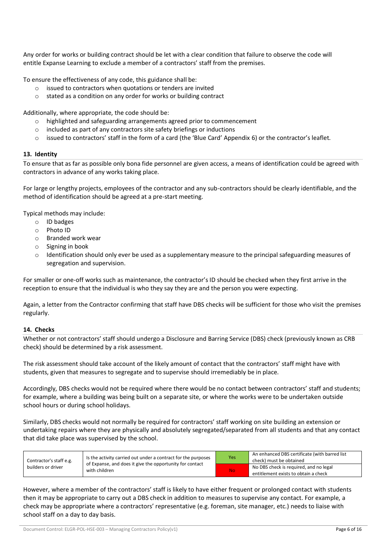Any order for works or building contract should be let with a clear condition that failure to observe the code will entitle Expanse Learning to exclude a member of a contractors' staff from the premises.

To ensure the effectiveness of any code, this guidance shall be:

- o issued to contractors when quotations or tenders are invited
- o stated as a condition on any order for works or building contract

Additionally, where appropriate, the code should be:

- o highlighted and safeguarding arrangements agreed prior to commencement
- o included as part of any contractors site safety briefings or inductions
- o issued to contractors' staff in the form of a card (the 'Blue Card' Appendix 6) or the contractor's leaflet.

#### **13. Identity**

To ensure that as far as possible only bona fide personnel are given access, a means of identification could be agreed with contractors in advance of any works taking place.

For large or lengthy projects, employees of the contractor and any sub-contractors should be clearly identifiable, and the method of identification should be agreed at a pre-start meeting.

Typical methods may include:

- o ID badges
- o Photo ID
- o Branded work wear
- o Signing in book
- o Identification should only ever be used as a supplementary measure to the principal safeguarding measures of segregation and supervision.

For smaller or one-off works such as maintenance, the contractor's ID should be checked when they first arrive in the reception to ensure that the individual is who they say they are and the person you were expecting.

Again, a letter from the Contractor confirming that staff have DBS checks will be sufficient for those who visit the premises regularly.

#### **14. Checks**

Whether or not contractors' staff should undergo a Disclosure and Barring Service (DBS) check (previously known as CRB check) should be determined by a risk assessment.

The risk assessment should take account of the likely amount of contact that the contractors' staff might have with students, given that measures to segregate and to supervise should irremediably be in place.

Accordingly, DBS checks would not be required where there would be no contact between contractors' staff and students; for example, where a building was being built on a separate site, or where the works were to be undertaken outside school hours or during school holidays.

Similarly, DBS checks would not normally be required for contractors' staff working on site building an extension or undertaking repairs where they are physically and absolutely segregated/separated from all students and that any contact that did take place was supervised by the school.

| Contractor's staff e.g.<br>builders or driver | Is the activity carried out under a contract for the purposes<br>of Expanse, and does it give the opportunity for contact<br>with children | <b>Yes</b> | An enhanced DBS certificate (with barred list<br>check) must be obtained       |
|-----------------------------------------------|--------------------------------------------------------------------------------------------------------------------------------------------|------------|--------------------------------------------------------------------------------|
|                                               |                                                                                                                                            | <b>No</b>  | No DBS check is required, and no legal<br>entitlement exists to obtain a check |

However, where a member of the contractors' staff is likely to have either frequent or prolonged contact with students then it may be appropriate to carry out a DBS check in addition to measures to supervise any contact. For example, a check may be appropriate where a contractors' representative (e.g. foreman, site manager, etc.) needs to liaise with school staff on a day to day basis.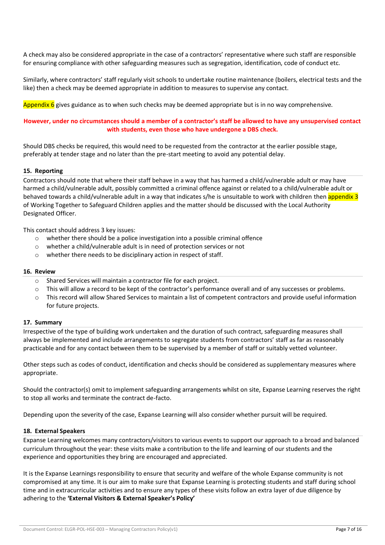A check may also be considered appropriate in the case of a contractors' representative where such staff are responsible for ensuring compliance with other safeguarding measures such as segregation, identification, code of conduct etc.

Similarly, where contractors' staff regularly visit schools to undertake routine maintenance (boilers, electrical tests and the like) then a check may be deemed appropriate in addition to measures to supervise any contact.

Appendix  $6$  gives guidance as to when such checks may be deemed appropriate but is in no way comprehensive.

## **However, under no circumstances should a member of a contractor's staff be allowed to have any unsupervised contact with students, even those who have undergone a DBS check.**

Should DBS checks be required, this would need to be requested from the contractor at the earlier possible stage, preferably at tender stage and no later than the pre-start meeting to avoid any potential delay.

#### **15. Reporting**

Contractors should note that where their staff behave in a way that has harmed a child/vulnerable adult or may have harmed a child/vulnerable adult, possibly committed a criminal offence against or related to a child/vulnerable adult or behaved towards a child/vulnerable adult in a way that indicates s/he is unsuitable to work with children then appendix 3 of Working Together to Safeguard Children applies and the matter should be discussed with the Local Authority Designated Officer.

This contact should address 3 key issues:

- $\circ$  whether there should be a police investigation into a possible criminal offence
- o whether a child/vulnerable adult is in need of protection services or not
- o whether there needs to be disciplinary action in respect of staff.

#### **16. Review**

- o Shared Services will maintain a contractor file for each project.
- o This will allow a record to be kept of the contractor's performance overall and of any successes or problems.
- o This record will allow Shared Services to maintain a list of competent contractors and provide useful information for future projects.

#### **17. Summary**

Irrespective of the type of building work undertaken and the duration of such contract, safeguarding measures shall always be implemented and include arrangements to segregate students from contractors' staff as far as reasonably practicable and for any contact between them to be supervised by a member of staff or suitably vetted volunteer.

Other steps such as codes of conduct, identification and checks should be considered as supplementary measures where appropriate.

Should the contractor(s) omit to implement safeguarding arrangements whilst on site, Expanse Learning reserves the right to stop all works and terminate the contract de-facto.

Depending upon the severity of the case, Expanse Learning will also consider whether pursuit will be required.

#### **18. External Speakers**

Expanse Learning welcomes many contractors/visitors to various events to support our approach to a broad and balanced curriculum throughout the year: these visits make a contribution to the life and learning of our students and the experience and opportunities they bring are encouraged and appreciated.

It is the Expanse Learnings responsibility to ensure that security and welfare of the whole Expanse community is not compromised at any time. It is our aim to make sure that Expanse Learning is protecting students and staff during school time and in extracurricular activities and to ensure any types of these visits follow an extra layer of due diligence by adhering to the **'External Visitors & External Speaker's Policy'**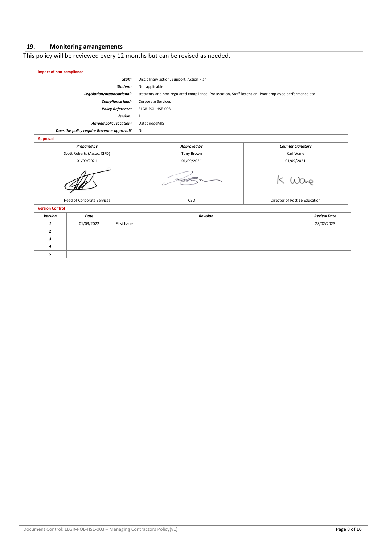# **19. Monitoring arrangements**

This policy will be reviewed every 12 months but can be revised as needed.

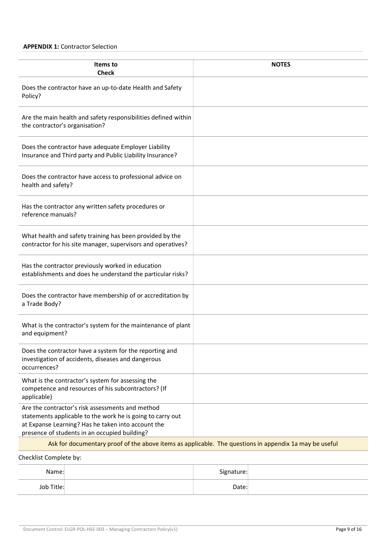## **APPENDIX 1:** Contractor Selection

| Items to<br><b>Check</b>                                                                                                                                                                                              | <b>NOTES</b> |
|-----------------------------------------------------------------------------------------------------------------------------------------------------------------------------------------------------------------------|--------------|
| Does the contractor have an up-to-date Health and Safety<br>Policy?                                                                                                                                                   |              |
| Are the main health and safety responsibilities defined within<br>the contractor's organisation?                                                                                                                      |              |
| Does the contractor have adequate Employer Liability<br>Insurance and Third party and Public Liability Insurance?                                                                                                     |              |
| Does the contractor have access to professional advice on<br>health and safety?                                                                                                                                       |              |
| Has the contractor any written safety procedures or<br>reference manuals?                                                                                                                                             |              |
| What health and safety training has been provided by the<br>contractor for his site manager, supervisors and operatives?                                                                                              |              |
| Has the contractor previously worked in education<br>establishments and does he understand the particular risks?                                                                                                      |              |
| Does the contractor have membership of or accreditation by<br>a Trade Body?                                                                                                                                           |              |
| What is the contractor's system for the maintenance of plant<br>and equipment?                                                                                                                                        |              |
| Does the contractor have a system for the reporting and<br>investigation of accidents, diseases and dangerous<br>occurrences?                                                                                         |              |
| What is the contractor's system for assessing the<br>competence and resources of his subcontractors? (If<br>applicable)                                                                                               |              |
| Are the contractor's risk assessments and method<br>statements applicable to the work he is going to carry out<br>at Expanse Learning? Has he taken into account the<br>presence of students in an occupied building? |              |
| Ask for documentary proof of the above items as applicable. The questions in appendix 1a may be useful                                                                                                                |              |
| Checklist Complete by:                                                                                                                                                                                                |              |

| Name:      | Signature: |  |
|------------|------------|--|
| Job Title: | Date:      |  |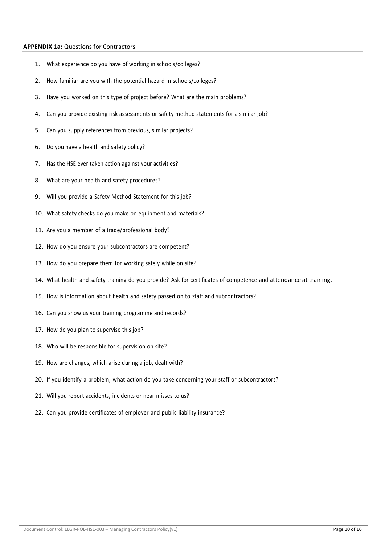## **APPENDIX 1a:** Questions for Contractors

- 1. What experience do you have of working in schools/colleges?
- 2. How familiar are you with the potential hazard in schools/colleges?
- 3. Have you worked on this type of project before? What are the main problems?
- 4. Can you provide existing risk assessments or safety method statements for a similar job?
- 5. Can you supply references from previous, similar projects?
- 6. Do you have a health and safety policy?
- 7. Has the HSE ever taken action against your activities?
- 8. What are your health and safety procedures?
- 9. Will you provide a Safety Method Statement for this job?
- 10. What safety checks do you make on equipment and materials?
- 11. Are you a member of a trade/professional body?
- 12. How do you ensure your subcontractors are competent?
- 13. How do you prepare them for working safely while on site?
- 14. What health and safety training do you provide? Ask for certificates of competence and attendance at training.
- 15. How is information about health and safety passed on to staff and subcontractors?
- 16. Can you show us your training programme and records?
- 17. How do you plan to supervise this job?
- 18. Who will be responsible for supervision on site?
- 19. How are changes, which arise during a job, dealt with?
- 20. If you identify a problem, what action do you take concerning your staff or subcontractors?
- 21. Will you report accidents, incidents or near misses to us?
- 22. Can you provide certificates of employer and public liability insurance?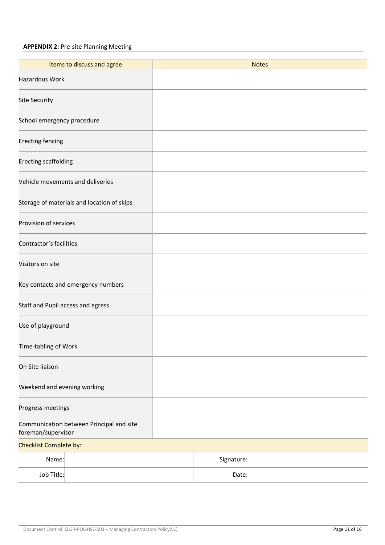# **APPENDIX 2:** Pre-site Planning Meeting

| Items to discuss and agree                                     |  |            | <b>Notes</b> |  |
|----------------------------------------------------------------|--|------------|--------------|--|
| Hazardous Work                                                 |  |            |              |  |
|                                                                |  |            |              |  |
| Site Security                                                  |  |            |              |  |
| School emergency procedure                                     |  |            |              |  |
| <b>Erecting fencing</b>                                        |  |            |              |  |
| Erecting scaffolding                                           |  |            |              |  |
| Vehicle movements and deliveries                               |  |            |              |  |
| Storage of materials and location of skips                     |  |            |              |  |
| Provision of services                                          |  |            |              |  |
| Contractor's facilities                                        |  |            |              |  |
| Visitors on site                                               |  |            |              |  |
| Key contacts and emergency numbers                             |  |            |              |  |
| Staff and Pupil access and egress                              |  |            |              |  |
| Use of playground                                              |  |            |              |  |
| Time-tabling of Work                                           |  |            |              |  |
| On Site liaison                                                |  |            |              |  |
| Weekend and evening working                                    |  |            |              |  |
| Progress meetings                                              |  |            |              |  |
| Communication between Principal and site<br>foreman/supervisor |  |            |              |  |
| Checklist Complete by:                                         |  |            |              |  |
| Name:                                                          |  | Signature: |              |  |
| Job Title:                                                     |  | Date:      |              |  |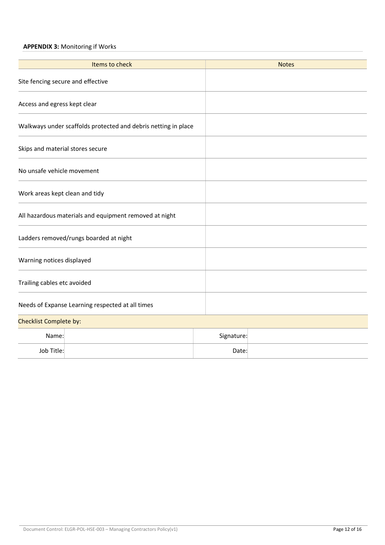## **APPENDIX 3:** Monitoring if Works

| Items to check                                                 |  |            | <b>Notes</b> |
|----------------------------------------------------------------|--|------------|--------------|
| Site fencing secure and effective                              |  |            |              |
| Access and egress kept clear                                   |  |            |              |
| Walkways under scaffolds protected and debris netting in place |  |            |              |
| Skips and material stores secure                               |  |            |              |
| No unsafe vehicle movement                                     |  |            |              |
| Work areas kept clean and tidy                                 |  |            |              |
| All hazardous materials and equipment removed at night         |  |            |              |
| Ladders removed/rungs boarded at night                         |  |            |              |
| Warning notices displayed                                      |  |            |              |
| Trailing cables etc avoided                                    |  |            |              |
| Needs of Expanse Learning respected at all times               |  |            |              |
| Checklist Complete by:                                         |  |            |              |
| Name:                                                          |  | Signature: |              |
| Job Title:                                                     |  | Date:      |              |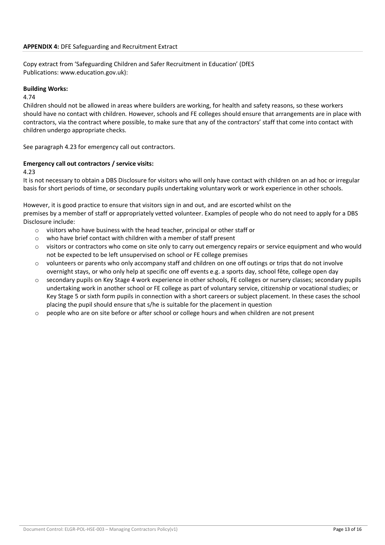Copy extract from 'Safeguarding Children and Safer Recruitment in Education' (DfES Publications: www.education.gov.uk):

## **Building Works:**

#### 4.74

Children should not be allowed in areas where builders are working, for health and safety reasons, so these workers should have no contact with children. However, schools and FE colleges should ensure that arrangements are in place with contractors, via the contract where possible, to make sure that any of the contractors' staff that come into contact with children undergo appropriate checks.

See paragraph 4.23 for emergency call out contractors.

## **Emergency call out contractors / service visits:**

4.23

It is not necessary to obtain a DBS Disclosure for visitors who will only have contact with children on an ad hoc or irregular basis for short periods of time, or secondary pupils undertaking voluntary work or work experience in other schools.

However, it is good practice to ensure that visitors sign in and out, and are escorted whilst on the premises by a member of staff or appropriately vetted volunteer. Examples of people who do not need to apply for a DBS Disclosure include:

- o visitors who have business with the head teacher, principal or other staff or
- o who have brief contact with children with a member of staff present
- o visitors or contractors who come on site only to carry out emergency repairs or service equipment and who would not be expected to be left unsupervised on school or FE college premises
- $\circ$  volunteers or parents who only accompany staff and children on one off outings or trips that do not involve overnight stays, or who only help at specific one off events e.g. a sports day, school fête, college open day
- o secondary pupils on Key Stage 4 work experience in other schools, FE colleges or nursery classes; secondary pupils undertaking work in another school or FE college as part of voluntary service, citizenship or vocational studies; or Key Stage 5 or sixth form pupils in connection with a short careers or subject placement. In these cases the school placing the pupil should ensure that s/he is suitable for the placement in question
- $\circ$  people who are on site before or after school or college hours and when children are not present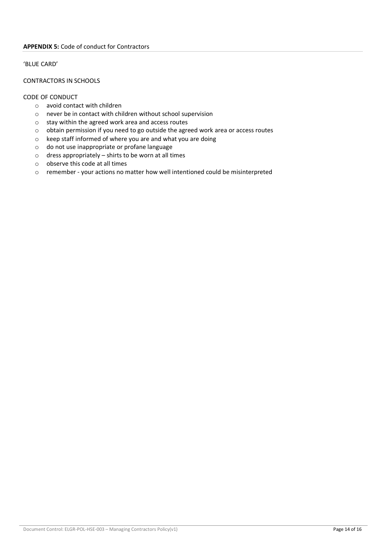### 'BLUE CARD'

## CONTRACTORS IN SCHOOLS

## CODE OF CONDUCT

- o avoid contact with children
- o never be in contact with children without school supervision
- o stay within the agreed work area and access routes
- o obtain permission if you need to go outside the agreed work area or access routes
- o keep staff informed of where you are and what you are doing
- o do not use inappropriate or profane language
- $\circ$  dress appropriately shirts to be worn at all times
- o observe this code at all times
- o remember your actions no matter how well intentioned could be misinterpreted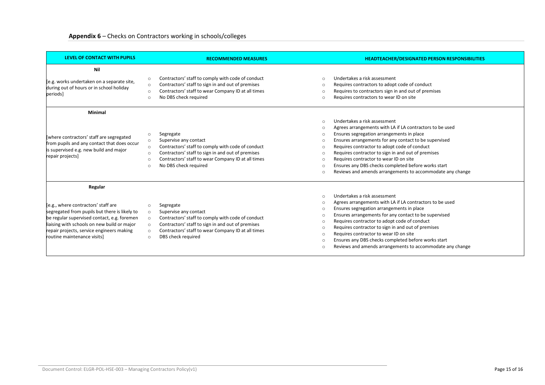| LEVEL OF CONTACT WITH PUPILS                                                                                                                                                                                                                                              | <b>RECOMMENDED MEASURES</b>                                                                                                                                                                                                                                                                   | <b>HEADTEACHER/DESIGNATED PERSON RESPONSIBILITIES</b>                                                                                                                                                                                                                                                                                                                                                                                                                                                                                                                              |
|---------------------------------------------------------------------------------------------------------------------------------------------------------------------------------------------------------------------------------------------------------------------------|-----------------------------------------------------------------------------------------------------------------------------------------------------------------------------------------------------------------------------------------------------------------------------------------------|------------------------------------------------------------------------------------------------------------------------------------------------------------------------------------------------------------------------------------------------------------------------------------------------------------------------------------------------------------------------------------------------------------------------------------------------------------------------------------------------------------------------------------------------------------------------------------|
| Nil<br>[e.g. works undertaken on a separate site,<br>during out of hours or in school holiday<br>periods]                                                                                                                                                                 | Contractors' staff to comply with code of conduct<br>$\circ$<br>Contractors' staff to sign in and out of premises<br>$\circ$<br>Contractors' staff to wear Company ID at all times<br>$\circ$<br>No DBS check required<br>$\circ$                                                             | Undertakes a risk assessment<br>$\Omega$<br>Requires contractors to adopt code of conduct<br>$\Omega$<br>Requires to contractors sign in and out of premises<br>$\Omega$<br>Requires contractors to wear ID on site<br>$\bigcap$                                                                                                                                                                                                                                                                                                                                                   |
| Minimal<br>where contractors' staff are segregated<br>from pupils and any contact that does occur<br>is supervised e.g. new build and major<br>repair projects]                                                                                                           | Segregate<br>$\circ$<br>Supervise any contact<br>$\circ$<br>Contractors' staff to comply with code of conduct<br>$\circ$<br>Contractors' staff to sign in and out of premises<br>$\circ$<br>Contractors' staff to wear Company ID at all times<br>$\circ$<br>No DBS check required<br>$\circ$ | Undertakes a risk assessment<br>$\bigcap$<br>Agrees arrangements with LA if LA contractors to be used<br>$\Omega$<br>Ensures segregation arrangements in place<br>$\Omega$<br>Ensures arrangements for any contact to be supervised<br>$\bigcap$<br>Requires contractor to adopt code of conduct<br>$\bigcap$<br>Requires contractor to sign in and out of premises<br>$\bigcap$<br>Requires contractor to wear ID on site<br>$\circ$<br>Ensures any DBS checks completed before works start<br>$\bigcap$<br>Reviews and amends arrangements to accommodate any change<br>$\Omega$ |
| Regular<br>[e.g., where contractors' staff are<br>segregated from pupils but there is likely to<br>be regular supervised contact, e.g. foremen<br>liaising with schools on new build or major<br>repair projects, service engineers making<br>routine maintenance visits] | Segregate<br>$\circ$<br>Supervise any contact<br>$\circ$<br>Contractors' staff to comply with code of conduct<br>$\circ$<br>Contractors' staff to sign in and out of premises<br>$\circ$<br>Contractors' staff to wear Company ID at all times<br>$\circ$<br>DBS check required<br>$\circ$    | Undertakes a risk assessment<br>$\bigcap$<br>Agrees arrangements with LA if LA contractors to be used<br>$\Omega$<br>Ensures segregation arrangements in place<br>$\Omega$<br>Ensures arrangements for any contact to be supervised<br>$\Omega$<br>Requires contractor to adopt code of conduct<br>$\Omega$<br>Requires contractor to sign in and out of premises<br>$\Omega$<br>Requires contractor to wear ID on site<br>$\bigcap$<br>Ensures any DBS checks completed before works start<br>$\bigcap$<br>Reviews and amends arrangements to accommodate any change<br>$\cap$    |